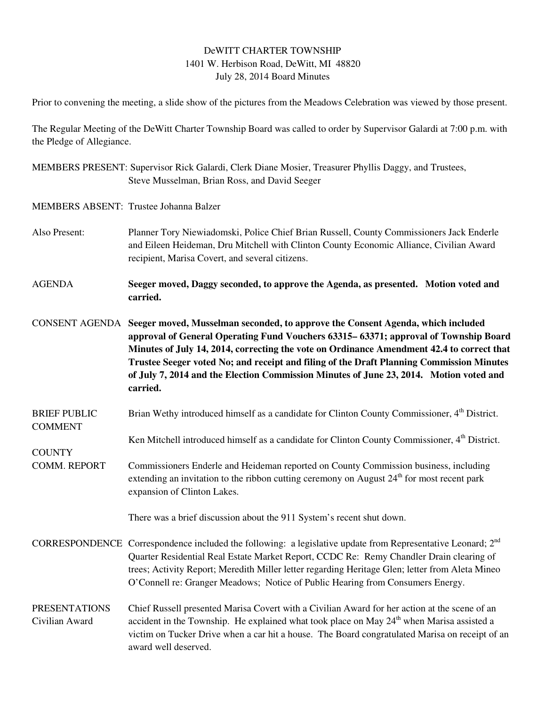## DeWITT CHARTER TOWNSHIP 1401 W. Herbison Road, DeWitt, MI 48820 July 28, 2014 Board Minutes

Prior to convening the meeting, a slide show of the pictures from the Meadows Celebration was viewed by those present.

The Regular Meeting of the DeWitt Charter Township Board was called to order by Supervisor Galardi at 7:00 p.m. with the Pledge of Allegiance.

MEMBERS PRESENT: Supervisor Rick Galardi, Clerk Diane Mosier, Treasurer Phyllis Daggy, and Trustees, Steve Musselman, Brian Ross, and David Seeger

MEMBERS ABSENT: Trustee Johanna Balzer

**COUNTY** 

- Also Present: Planner Tory Niewiadomski, Police Chief Brian Russell, County Commissioners Jack Enderle and Eileen Heideman, Dru Mitchell with Clinton County Economic Alliance, Civilian Award recipient, Marisa Covert, and several citizens.
- AGENDA **Seeger moved, Daggy seconded, to approve the Agenda, as presented. Motion voted and carried.**

CONSENT AGENDA **Seeger moved, Musselman seconded, to approve the Consent Agenda, which included approval of General Operating Fund Vouchers 63315– 63371; approval of Township Board Minutes of July 14, 2014, correcting the vote on Ordinance Amendment 42.4 to correct that Trustee Seeger voted No; and receipt and filing of the Draft Planning Commission Minutes of July 7, 2014 and the Election Commission Minutes of June 23, 2014. Motion voted and carried.** 

- BRIEF PUBLIC Brian Wethy introduced himself as a candidate for Clinton County Commissioner, 4<sup>th</sup> District. COMMENT
- Ken Mitchell introduced himself as a candidate for Clinton County Commissioner, 4<sup>th</sup> District.
- COMM. REPORT Commissioners Enderle and Heideman reported on County Commission business, including extending an invitation to the ribbon cutting ceremony on August  $24<sup>th</sup>$  for most recent park expansion of Clinton Lakes.

There was a brief discussion about the 911 System's recent shut down.

- CORRESPONDENCE Correspondence included the following: a legislative update from Representative Leonard;  $2<sup>nd</sup>$ Quarter Residential Real Estate Market Report, CCDC Re: Remy Chandler Drain clearing of trees; Activity Report; Meredith Miller letter regarding Heritage Glen; letter from Aleta Mineo O'Connell re: Granger Meadows; Notice of Public Hearing from Consumers Energy.
- PRESENTATIONS Chief Russell presented Marisa Covert with a Civilian Award for her action at the scene of an Civilian Award accident in the Township. He explained what took place on May  $24<sup>th</sup>$  when Marisa assisted a victim on Tucker Drive when a car hit a house. The Board congratulated Marisa on receipt of an award well deserved.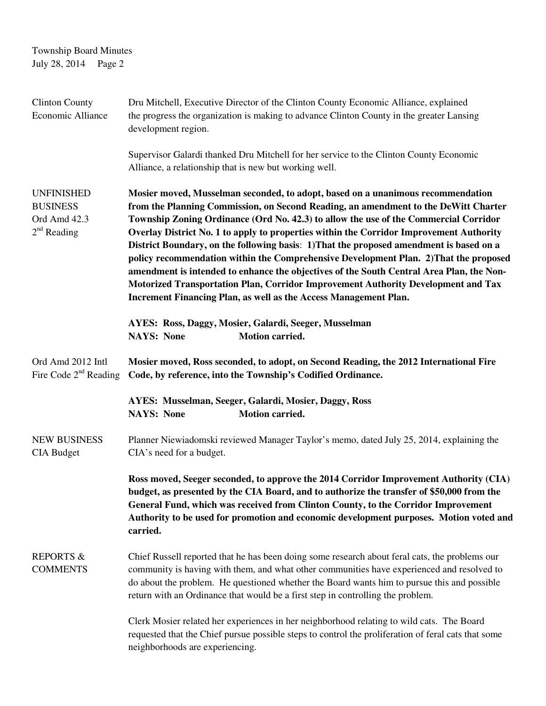Township Board Minutes July 28, 2014 Page 2

| <b>Clinton County</b><br>Economic Alliance                            | Dru Mitchell, Executive Director of the Clinton County Economic Alliance, explained<br>the progress the organization is making to advance Clinton County in the greater Lansing<br>development region.                                                                                                                                                                                                                                                                                                                                                                                                                                                                                                                                                                                             |
|-----------------------------------------------------------------------|----------------------------------------------------------------------------------------------------------------------------------------------------------------------------------------------------------------------------------------------------------------------------------------------------------------------------------------------------------------------------------------------------------------------------------------------------------------------------------------------------------------------------------------------------------------------------------------------------------------------------------------------------------------------------------------------------------------------------------------------------------------------------------------------------|
|                                                                       | Supervisor Galardi thanked Dru Mitchell for her service to the Clinton County Economic<br>Alliance, a relationship that is new but working well.                                                                                                                                                                                                                                                                                                                                                                                                                                                                                                                                                                                                                                                   |
| <b>UNFINISHED</b><br><b>BUSINESS</b><br>Ord Amd 42.3<br>$2nd$ Reading | Mosier moved, Musselman seconded, to adopt, based on a unanimous recommendation<br>from the Planning Commission, on Second Reading, an amendment to the DeWitt Charter<br>Township Zoning Ordinance (Ord No. 42.3) to allow the use of the Commercial Corridor<br>Overlay District No. 1 to apply to properties within the Corridor Improvement Authority<br>District Boundary, on the following basis: 1) That the proposed amendment is based on a<br>policy recommendation within the Comprehensive Development Plan. 2) That the proposed<br>amendment is intended to enhance the objectives of the South Central Area Plan, the Non-<br>Motorized Transportation Plan, Corridor Improvement Authority Development and Tax<br>Increment Financing Plan, as well as the Access Management Plan. |
|                                                                       | AYES: Ross, Daggy, Mosier, Galardi, Seeger, Musselman<br><b>NAYS: None</b><br>Motion carried.                                                                                                                                                                                                                                                                                                                                                                                                                                                                                                                                                                                                                                                                                                      |
| Ord Amd 2012 Intl<br>Fire Code 2 <sup>nd</sup> Reading                | Mosier moved, Ross seconded, to adopt, on Second Reading, the 2012 International Fire<br>Code, by reference, into the Township's Codified Ordinance.                                                                                                                                                                                                                                                                                                                                                                                                                                                                                                                                                                                                                                               |
|                                                                       | AYES: Musselman, Seeger, Galardi, Mosier, Daggy, Ross<br><b>Motion carried.</b><br><b>NAYS: None</b>                                                                                                                                                                                                                                                                                                                                                                                                                                                                                                                                                                                                                                                                                               |
| <b>NEW BUSINESS</b><br><b>CIA Budget</b>                              | Planner Niewiadomski reviewed Manager Taylor's memo, dated July 25, 2014, explaining the<br>CIA's need for a budget.                                                                                                                                                                                                                                                                                                                                                                                                                                                                                                                                                                                                                                                                               |
|                                                                       | Ross moved, Seeger seconded, to approve the 2014 Corridor Improvement Authority (CIA)<br>budget, as presented by the CIA Board, and to authorize the transfer of \$50,000 from the<br>General Fund, which was received from Clinton County, to the Corridor Improvement<br>Authority to be used for promotion and economic development purposes. Motion voted and<br>carried.                                                                                                                                                                                                                                                                                                                                                                                                                      |
| <b>REPORTS &amp;</b><br><b>COMMENTS</b>                               | Chief Russell reported that he has been doing some research about feral cats, the problems our<br>community is having with them, and what other communities have experienced and resolved to<br>do about the problem. He questioned whether the Board wants him to pursue this and possible<br>return with an Ordinance that would be a first step in controlling the problem.                                                                                                                                                                                                                                                                                                                                                                                                                     |
|                                                                       | Clerk Mosier related her experiences in her neighborhood relating to wild cats. The Board<br>requested that the Chief pursue possible steps to control the proliferation of feral cats that some<br>neighborhoods are experiencing.                                                                                                                                                                                                                                                                                                                                                                                                                                                                                                                                                                |